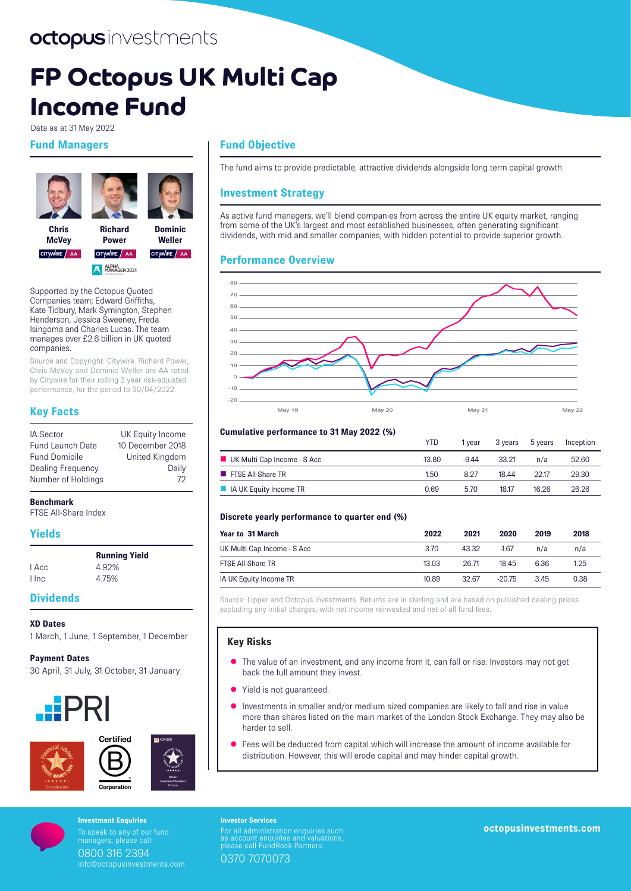# octopusinvestments

# **FP Octopus UK Multi Cap Income Fund**

Data as at 31 May 2022

# **Fund Managers**





**Chris McVey**  CITYWIRE / AA

**Dominic Power Weller**  CITYWIRE AA CITYWIRE AA

ALPHA<br>MANAGER 2021

Supported by the Octopus Quoted Companies team; Edward Griffiths, Kate Tidbury, Mark Symington, Stephen Henderson, Jessica Sweeney, Freda Isingoma and Charles Lucas. The team manages over £2.6 billion in UK quoted companies.

Source and Copyright: Citywire. Richard Power, Chris McVey and Dominic Weller are AA rated by Citywire for their rolling 3 year risk-adjusted performance, for the period to 30/04/2022.

# **Key Facts**

| <b>IA Sector</b>        | UK Equity Income      |
|-------------------------|-----------------------|
| <b>Fund Launch Date</b> | 10 December 2018      |
| <b>Fund Domicile</b>    | <b>United Kingdom</b> |
| Dealing Frequency       | Daily                 |
| Number of Holdings      | 72                    |

#### **Benchmark**

FTSE All-Share Index

# **Yields**

|          | <b>Running Yield</b> |
|----------|----------------------|
| I Acc    | 4.92%                |
| $l$ Inc. | 4.75%                |

# **Dividends**

#### **XD Dates**

1 March, 1 June, 1 September, 1 December

**Payment Dates** 30 April, 31 July, 31 October, 31 January







# **Fund Objective**

The fund aims to provide predictable, attractive dividends alongside long term capital growth.

# **Investment Strategy**

As active fund managers, we'll blend companies from across the entire UK equity market, ranging from some of the UK's largest and most established businesses, often generating significant dividends, with mid and smaller companies, with hidden potential to provide superior growth.

# **Performance Overview**



#### **Cumulative performance to 31 May 2022 (%)**

|                                 | <b>YTD</b> | 1 vear  | 3 vears | 5 vears | Inception |
|---------------------------------|------------|---------|---------|---------|-----------|
| UK Multi Cap Income - S Acc     | $-13.80$   | $-9.44$ | 33.21   | n/a     | 52.60     |
| <b>FISE All-Share TR</b>        | 1.50       | 8.27    | 1844    | 2217    | 29.30     |
| <b>A</b> IA UK Equity Income TR | 0.69       | 570     | 18.17   | 16.26   | 26.26     |

#### **Discrete yearly performance to quarter end (%)**

| Year to 31 March            | 2022  | 2021  | 2020     | 2019 | 2018 |
|-----------------------------|-------|-------|----------|------|------|
| UK Multi Cap Income - S Acc | 3.70  | 43.32 | $-1.67$  | n/a  | n/a  |
| <b>FTSE All-Share TR</b>    | 13.03 | 26.71 | $-1845$  | 6.36 | 1.25 |
| IA UK Equity Income TR      | 10.89 | 32.67 | $-20.75$ | 345  | 0.38 |

Source: Lipper and Octopus Investments. Returns are in sterling and are based on published dealing prices excluding any initial charges, with net income reinvested and net of all fund fees.

#### **Key Risks**

- The value of an investment, and any income from it, can fall or rise. Investors may not get back the full amount they invest.
- Yield is not guaranteed.
- Investments in smaller and/or medium sized companies are likely to fall and rise in value more than shares listed on the main market of the London Stock Exchange. They may also be harder to sell.
- Fees will be deducted from capital which will increase the amount of income available for distribution. However, this will erode capital and may hinder capital growth.

To speak to any of our fund managers, please call: 0800 316 2394 info@octopusinvestments.com

**Investor Services** For all administration enquiries such as account enquiries and valuations, please call FundRock Partners: 0370 7070073 **Investment Enquiries**<br>To speak to any of our fund **CONTING THE CONTINUES CONTINUES** Such **Investment Continues in the Continue Continues Continues in the Continues of Continues and The Continues of Continues and The Conti**